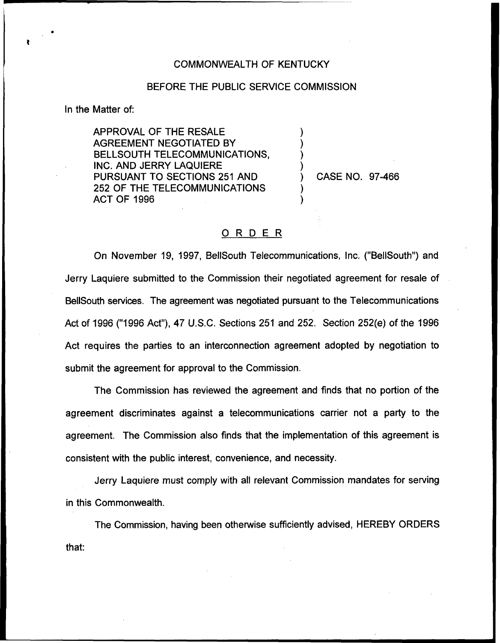## COMMONWEALTH OF KENTUCKY

## BEFORE THE PUBLIC SERVICE COMMISSION

) ) ) )

) )

In the Matter of:

APPROVAL OF THE RESALE AGREEMENT NEGOTIATED BY BELLSOUTH TELECOMMUNICATIONS, INC. AND JERRY LAQUIERE PURSUANT TO SECTIONS 251 AND 252 OF THE TELECOMMUNICATIONS ACT OF 1996

) CASE NO. 97-466

## ORDER

On November 19, 1997, BellSouth Telecommunications, Inc. ("BellSouth") and Jerry Laquiere submitted to the Commission their negotiated agreement for resale of BellSouth services. The agreement was negotiated pursuant to the Telecommunications Act of 1996 ("1996 Act"), 47 U.S.C. Sections 251 and 252. Section 252(e) of the 1996 Act requires the parties to an interconnection agreement adopted by negotiation to submit the agreement for approval to the Commission.

The Commission has reviewed the agreement and finds that no portion of the agreement discriminates against a telecommunications carrier not a party to the agreement. The Commission also finds that the implementation of this agreement is consistent with the public interest, convenience, and necessity.

Jerry Laquiere must comply with all relevant Commission mandates for serving in this Commonwealth.

The Commission, having been otherwise sufficiently advised, HEREBY ORDERSthat: